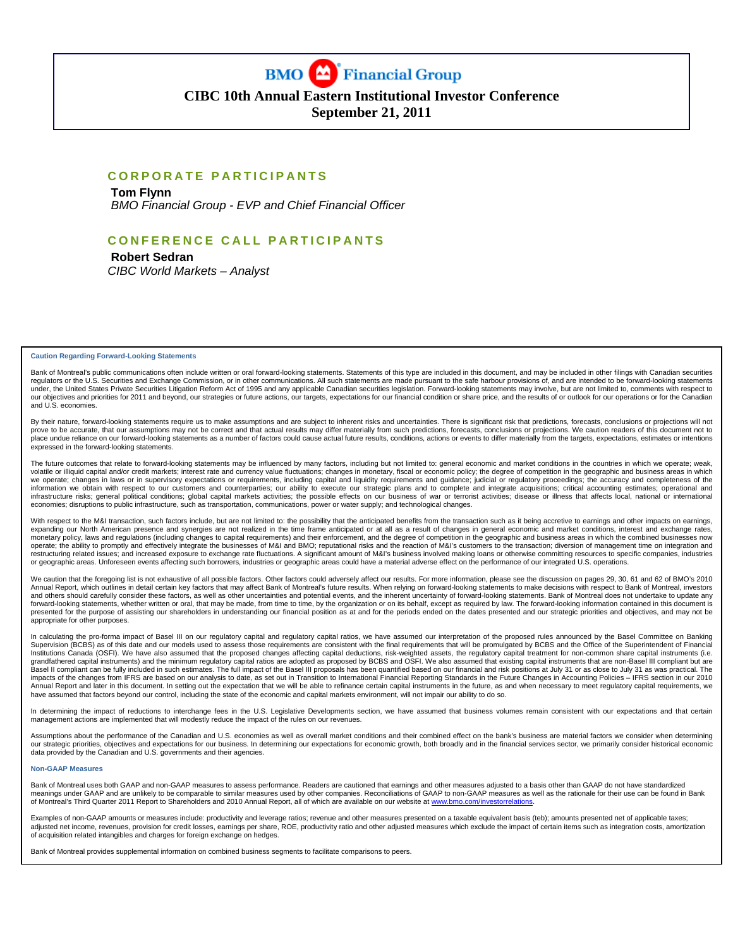

# **CIBC 10th Annual Eastern Institutional Investor Conference**

**September 21, 2011** 

#### **CORPORATE PARTICIPANTS**

 **Tom Flynn**   *BMO Financial Group - EVP and Chief Financial Officer* 

# **CONFERENCE CALL PARTICIPANTS**

 **Robert Sedran**  *CIBC World Markets – Analyst* 

**Caution Regarding Forward-Looking Statements** 

Bank of Montreal's public communications often include written or oral forward-looking statements. Statements of this type are included in this document, and may be included in other filings with Canadian securities regulators or the U.S. Securities and Exchange Commission, or in other communications. All such statements are made pursuant to the safe harbour provisions of, and are intended to be forward-looking statements<br>under, the U our objectives and priorities for 2011 and beyond, our strategies or future actions, our targets, expectations for our financial condition or share price, and the results of or outlook for our operations or for the Canadia and U.S. economies.

By their nature, forward-looking statements require us to make assumptions and are subject to inherent risks and uncertainties. There is significant risk that predictions, forecasts, conclusions or projections or projectio place undue reliance on our forward-looking statements as a number of factors could cause actual future results, conditions, actions or events to differ materially from the targets, expectations, estimates or intentions expressed in the forward-looking statements.

The future outcomes that relate to forward-looking statements may be influenced by many factors, including but not limited to: general economic and market conditions in the countries in which we operate; weak,<br>volatile or we operate; changes in laws or in supervisory expectations or requirements, including capital and liquidity requirements and guidance; judicial or regulatory proceedings; the accuracy and completeness of the information we obtain with respect to our customers and counterparties; our ability to execute our strategic plans and to complete and integrate acquisitions; critical accounting estimates; operational and<br>infrastructure r economies; disruptions to public infrastructure, such as transportation, communications, power or water supply; and technological changes.

With respect to the M&I transaction, such factors include, but are not limited to: the possibility that the anticipated benefits from the transaction such as it being accretive to earnings and other impacts on earnings, expanding our North American presence and synergies are not realized in the time frame anticipated or at all as a result of changes in general economic and market conditions, interest and exchange rates,<br>monetary policy, l or geographic areas. Unforeseen events affecting such borrowers, industries or geographic areas could have a material adverse effect on the performance of our integrated U.S. operations.

We caution that the foregoing list is not exhaustive of all possible factors. Other factors could adversely affect our results. For more information, please see the discussion on pages 29, 30, 61 and 62 of BMO's 2010 Annual Report, which outlines in detail certain key factors that may affect Bank of Montreal's future results. When relying on forward-looking statements to make decisions with respect to Bank of Montreal, investors and others should carefully consider these factors, as well as other uncertainties and potential events, and the inherent uncertainty of forward-looking statements. Bank of Montreal does not undertake to update any<br>forward presented for the purpose of assisting our shareholders in understanding our financial position as at and for the periods ended on the dates presented and our strategic priorities and objectives, and may not be appropriate for other purposes.

In calculating the pro-forma impact of Basel III on our regulatory capital and regulatory capital ratios, we have assumed our interpretation of the proposed rules announced by the Basel Committee on Banking<br>Supervision (BC Institutions Canada (OSFI). We have also assumed that the proposed changes affecting capital deductions, risk-weighted assets, the regulatory capital treatment for non-common share capital instruments (i.e.<br>grandfathered c impacts of the changes from IFRS are based on our analysis to date, as set out in Transition to International Financial Reporting Standards in the Future Changes in Accounting Policies – IFRS section in our 2010<br>Annual Rep have assumed that factors beyond our control, including the state of the economic and capital markets environment, will not impair our ability to do so.

In determining the impact of reductions to interchange fees in the U.S. Legislative Developments section, we have assumed that business volumes remain consistent with our expectations and that certain management actions are implemented that will modestly reduce the impact of the rules on our revenues.

Assumptions about the performance of the Canadian and U.S. economies as well as overall market conditions and their combined effect on the bank's business are material factors we consider when determining our strategic priorities, objectives and expectations for our business. In determining our expectations for economic growth, both broadly and in the financial services sector, we primarily consider historical economic<br>data

#### **Non-GAAP Measures**

.<br>Bank of Montreal uses both GAAP and non-GAAP measures to assess performance. Readers are cautioned that earnings and other measures adjusted to a basis other than GAAP do not have standardized<br>meanings under GAAP and are of Montreal's Third Quarter 2011 Report to Shareholders and 2010 Annual Report, all of which are available on our website at www.bmo

Examples of non-GAAP amounts or measures include: productivity and leverage ratios; revenue and other measures presented on a taxable equivalent basis (teb); amounts presented net of applicable taxes; adjusted net income, revenues, provision for credit losses, earnings per share, ROE, productivity ratio and other adjusted measures which exclude the impact of certain items such as integration costs, amortization of acquisition related intangibles and charges for foreign exchange on hedges.

Bank of Montreal provides supplemental information on combined business segments to facilitate comparisons to peers.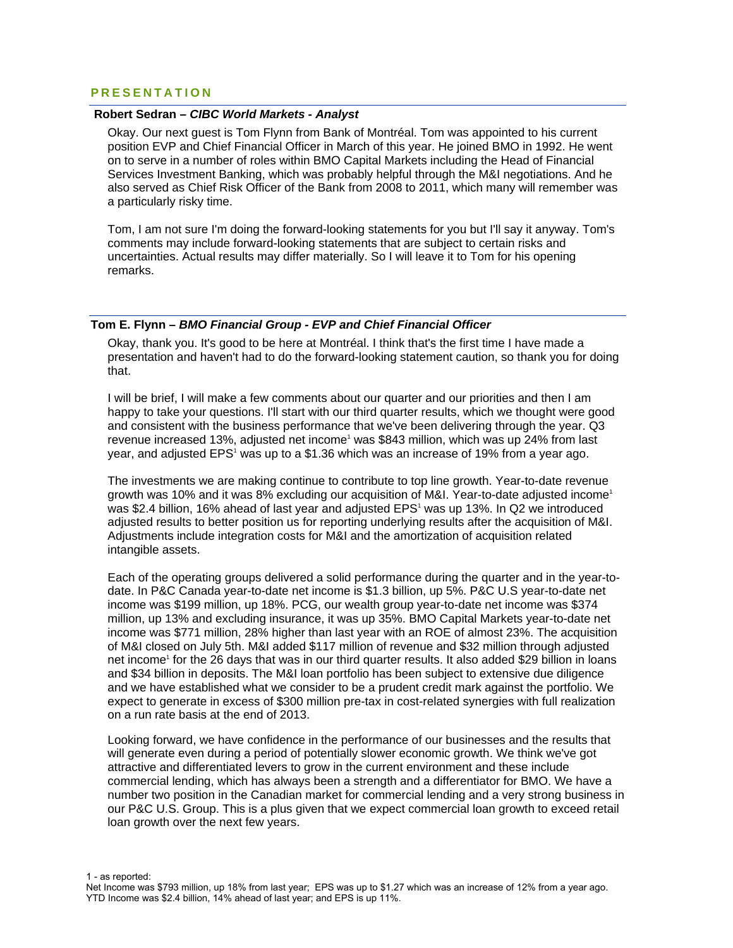# **PRESENTATION**

#### **Robert Sedran** *– CIBC World Markets - Analyst*

Okay. Our next guest is Tom Flynn from Bank of Montréal. Tom was appointed to his current position EVP and Chief Financial Officer in March of this year. He joined BMO in 1992. He went on to serve in a number of roles within BMO Capital Markets including the Head of Financial Services Investment Banking, which was probably helpful through the M&I negotiations. And he also served as Chief Risk Officer of the Bank from 2008 to 2011, which many will remember was a particularly risky time.

Tom, I am not sure I'm doing the forward-looking statements for you but I'll say it anyway. Tom's comments may include forward-looking statements that are subject to certain risks and uncertainties. Actual results may differ materially. So I will leave it to Tom for his opening remarks.

#### **Tom E. Flynn –** *BMO Financial Group - EVP and Chief Financial Officer*

Okay, thank you. It's good to be here at Montréal. I think that's the first time I have made a presentation and haven't had to do the forward-looking statement caution, so thank you for doing that.

I will be brief, I will make a few comments about our quarter and our priorities and then I am happy to take your questions. I'll start with our third quarter results, which we thought were good and consistent with the business performance that we've been delivering through the year. Q3 revenue increased 13%, adjusted net income<sup>1</sup> was \$843 million, which was up 24% from last year, and adjusted EPS<sup>1</sup> was up to a \$1.36 which was an increase of 19% from a year ago.

The investments we are making continue to contribute to top line growth. Year-to-date revenue growth was 10% and it was 8% excluding our acquisition of M&I. Year-to-date adjusted income1 was \$2.4 billion, 16% ahead of last year and adjusted EPS<sup>1</sup> was up 13%. In Q2 we introduced adjusted results to better position us for reporting underlying results after the acquisition of M&I. Adjustments include integration costs for M&I and the amortization of acquisition related intangible assets.

Each of the operating groups delivered a solid performance during the quarter and in the year-todate. In P&C Canada year-to-date net income is \$1.3 billion, up 5%. P&C U.S year-to-date net income was \$199 million, up 18%. PCG, our wealth group year-to-date net income was \$374 million, up 13% and excluding insurance, it was up 35%. BMO Capital Markets year-to-date net income was \$771 million, 28% higher than last year with an ROE of almost 23%. The acquisition of M&I closed on July 5th. M&I added \$117 million of revenue and \$32 million through adjusted net income<sup>1</sup> for the 26 days that was in our third quarter results. It also added \$29 billion in loans and \$34 billion in deposits. The M&I loan portfolio has been subject to extensive due diligence and we have established what we consider to be a prudent credit mark against the portfolio. We expect to generate in excess of \$300 million pre-tax in cost-related synergies with full realization on a run rate basis at the end of 2013.

Looking forward, we have confidence in the performance of our businesses and the results that will generate even during a period of potentially slower economic growth. We think we've got attractive and differentiated levers to grow in the current environment and these include commercial lending, which has always been a strength and a differentiator for BMO. We have a number two position in the Canadian market for commercial lending and a very strong business in our P&C U.S. Group. This is a plus given that we expect commercial loan growth to exceed retail loan growth over the next few years.

1 - as reported:

Net Income was \$793 million, up 18% from last year; EPS was up to \$1.27 which was an increase of 12% from a year ago. YTD Income was \$2.4 billion, 14% ahead of last year; and EPS is up 11%.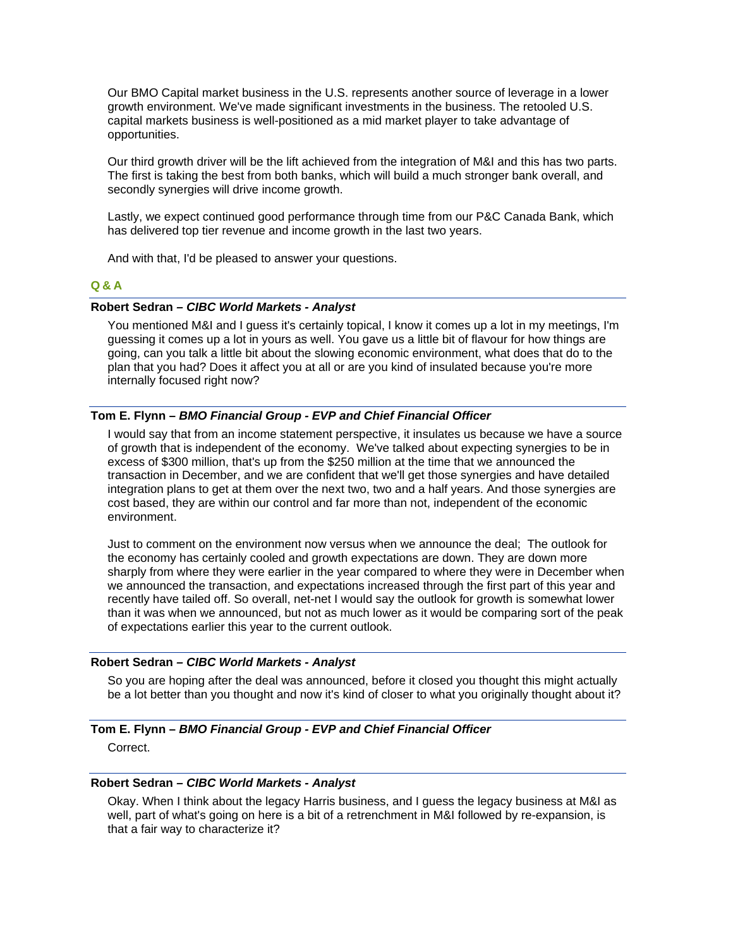Our BMO Capital market business in the U.S. represents another source of leverage in a lower growth environment. We've made significant investments in the business. The retooled U.S. capital markets business is well-positioned as a mid market player to take advantage of opportunities.

Our third growth driver will be the lift achieved from the integration of M&I and this has two parts. The first is taking the best from both banks, which will build a much stronger bank overall, and secondly synergies will drive income growth.

Lastly, we expect continued good performance through time from our P&C Canada Bank, which has delivered top tier revenue and income growth in the last two years.

And with that, I'd be pleased to answer your questions.

### **Q&A**

#### **Robert Sedran** *– CIBC World Markets - Analyst*

You mentioned M&I and I guess it's certainly topical, I know it comes up a lot in my meetings, I'm guessing it comes up a lot in yours as well. You gave us a little bit of flavour for how things are going, can you talk a little bit about the slowing economic environment, what does that do to the plan that you had? Does it affect you at all or are you kind of insulated because you're more internally focused right now?

### **Tom E. Flynn –** *BMO Financial Group - EVP and Chief Financial Officer*

I would say that from an income statement perspective, it insulates us because we have a source of growth that is independent of the economy. We've talked about expecting synergies to be in excess of \$300 million, that's up from the \$250 million at the time that we announced the transaction in December, and we are confident that we'll get those synergies and have detailed integration plans to get at them over the next two, two and a half years. And those synergies are cost based, they are within our control and far more than not, independent of the economic environment.

Just to comment on the environment now versus when we announce the deal; The outlook for the economy has certainly cooled and growth expectations are down. They are down more sharply from where they were earlier in the year compared to where they were in December when we announced the transaction, and expectations increased through the first part of this year and recently have tailed off. So overall, net-net I would say the outlook for growth is somewhat lower than it was when we announced, but not as much lower as it would be comparing sort of the peak of expectations earlier this year to the current outlook.

#### **Robert Sedran** *– CIBC World Markets - Analyst*

So you are hoping after the deal was announced, before it closed you thought this might actually be a lot better than you thought and now it's kind of closer to what you originally thought about it?

#### **Tom E. Flynn –** *BMO Financial Group - EVP and Chief Financial Officer*

Correct.

### **Robert Sedran** *– CIBC World Markets - Analyst*

Okay. When I think about the legacy Harris business, and I guess the legacy business at M&I as well, part of what's going on here is a bit of a retrenchment in M&I followed by re-expansion, is that a fair way to characterize it?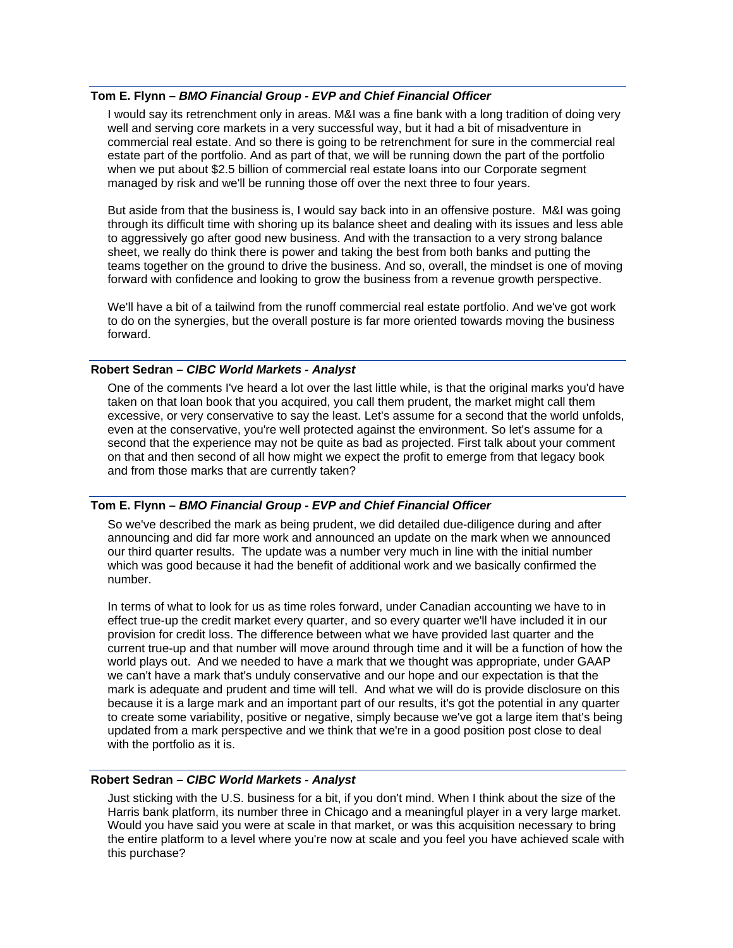### **Tom E. Flynn –** *BMO Financial Group - EVP and Chief Financial Officer*

I would say its retrenchment only in areas. M&I was a fine bank with a long tradition of doing very well and serving core markets in a very successful way, but it had a bit of misadventure in commercial real estate. And so there is going to be retrenchment for sure in the commercial real estate part of the portfolio. And as part of that, we will be running down the part of the portfolio when we put about \$2.5 billion of commercial real estate loans into our Corporate segment managed by risk and we'll be running those off over the next three to four years.

But aside from that the business is, I would say back into in an offensive posture. M&I was going through its difficult time with shoring up its balance sheet and dealing with its issues and less able to aggressively go after good new business. And with the transaction to a very strong balance sheet, we really do think there is power and taking the best from both banks and putting the teams together on the ground to drive the business. And so, overall, the mindset is one of moving forward with confidence and looking to grow the business from a revenue growth perspective.

We'll have a bit of a tailwind from the runoff commercial real estate portfolio. And we've got work to do on the synergies, but the overall posture is far more oriented towards moving the business forward.

#### **Robert Sedran** *– CIBC World Markets - Analyst*

One of the comments I've heard a lot over the last little while, is that the original marks you'd have taken on that loan book that you acquired, you call them prudent, the market might call them excessive, or very conservative to say the least. Let's assume for a second that the world unfolds, even at the conservative, you're well protected against the environment. So let's assume for a second that the experience may not be quite as bad as projected. First talk about your comment on that and then second of all how might we expect the profit to emerge from that legacy book and from those marks that are currently taken?

#### **Tom E. Flynn –** *BMO Financial Group - EVP and Chief Financial Officer*

So we've described the mark as being prudent, we did detailed due-diligence during and after announcing and did far more work and announced an update on the mark when we announced our third quarter results. The update was a number very much in line with the initial number which was good because it had the benefit of additional work and we basically confirmed the number.

In terms of what to look for us as time roles forward, under Canadian accounting we have to in effect true-up the credit market every quarter, and so every quarter we'll have included it in our provision for credit loss. The difference between what we have provided last quarter and the current true-up and that number will move around through time and it will be a function of how the world plays out. And we needed to have a mark that we thought was appropriate, under GAAP we can't have a mark that's unduly conservative and our hope and our expectation is that the mark is adequate and prudent and time will tell. And what we will do is provide disclosure on this because it is a large mark and an important part of our results, it's got the potential in any quarter to create some variability, positive or negative, simply because we've got a large item that's being updated from a mark perspective and we think that we're in a good position post close to deal with the portfolio as it is.

### **Robert Sedran** *– CIBC World Markets - Analyst*

Just sticking with the U.S. business for a bit, if you don't mind. When I think about the size of the Harris bank platform, its number three in Chicago and a meaningful player in a very large market. Would you have said you were at scale in that market, or was this acquisition necessary to bring the entire platform to a level where you're now at scale and you feel you have achieved scale with this purchase?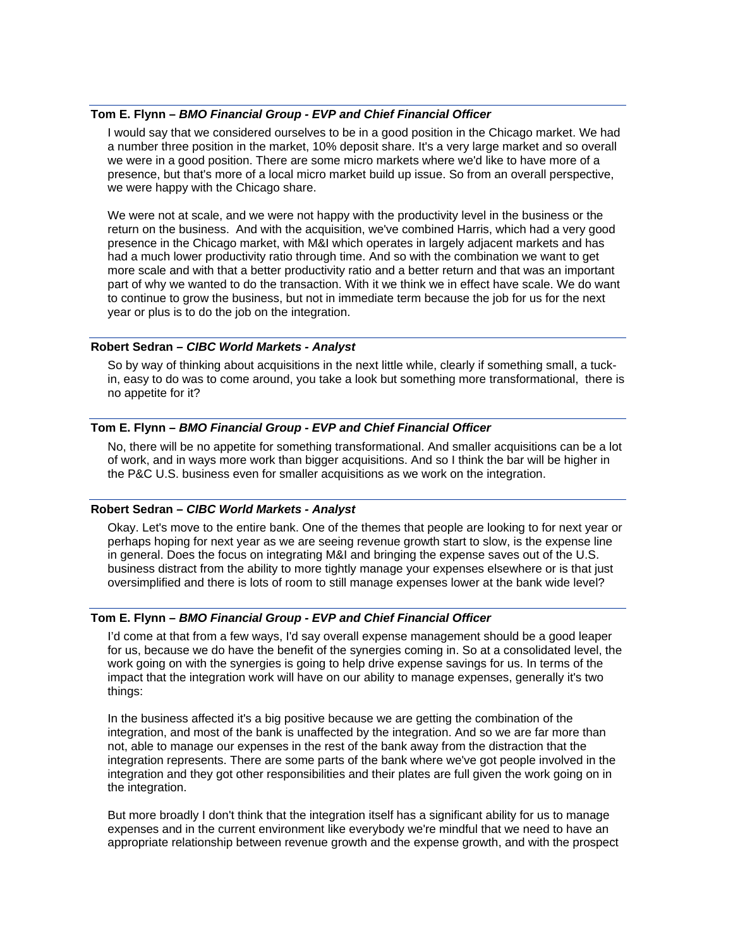#### **Tom E. Flynn –** *BMO Financial Group - EVP and Chief Financial Officer*

I would say that we considered ourselves to be in a good position in the Chicago market. We had a number three position in the market, 10% deposit share. It's a very large market and so overall we were in a good position. There are some micro markets where we'd like to have more of a presence, but that's more of a local micro market build up issue. So from an overall perspective, we were happy with the Chicago share.

We were not at scale, and we were not happy with the productivity level in the business or the return on the business. And with the acquisition, we've combined Harris, which had a very good presence in the Chicago market, with M&I which operates in largely adjacent markets and has had a much lower productivity ratio through time. And so with the combination we want to get more scale and with that a better productivity ratio and a better return and that was an important part of why we wanted to do the transaction. With it we think we in effect have scale. We do want to continue to grow the business, but not in immediate term because the job for us for the next year or plus is to do the job on the integration.

#### **Robert Sedran** *– CIBC World Markets - Analyst*

So by way of thinking about acquisitions in the next little while, clearly if something small, a tuckin, easy to do was to come around, you take a look but something more transformational, there is no appetite for it?

## **Tom E. Flynn –** *BMO Financial Group - EVP and Chief Financial Officer*

No, there will be no appetite for something transformational. And smaller acquisitions can be a lot of work, and in ways more work than bigger acquisitions. And so I think the bar will be higher in the P&C U.S. business even for smaller acquisitions as we work on the integration.

#### **Robert Sedran** *– CIBC World Markets - Analyst*

Okay. Let's move to the entire bank. One of the themes that people are looking to for next year or perhaps hoping for next year as we are seeing revenue growth start to slow, is the expense line in general. Does the focus on integrating M&I and bringing the expense saves out of the U.S. business distract from the ability to more tightly manage your expenses elsewhere or is that just oversimplified and there is lots of room to still manage expenses lower at the bank wide level?

### **Tom E. Flynn –** *BMO Financial Group - EVP and Chief Financial Officer*

I'd come at that from a few ways, I'd say overall expense management should be a good leaper for us, because we do have the benefit of the synergies coming in. So at a consolidated level, the work going on with the synergies is going to help drive expense savings for us. In terms of the impact that the integration work will have on our ability to manage expenses, generally it's two things:

In the business affected it's a big positive because we are getting the combination of the integration, and most of the bank is unaffected by the integration. And so we are far more than not, able to manage our expenses in the rest of the bank away from the distraction that the integration represents. There are some parts of the bank where we've got people involved in the integration and they got other responsibilities and their plates are full given the work going on in the integration.

But more broadly I don't think that the integration itself has a significant ability for us to manage expenses and in the current environment like everybody we're mindful that we need to have an appropriate relationship between revenue growth and the expense growth, and with the prospect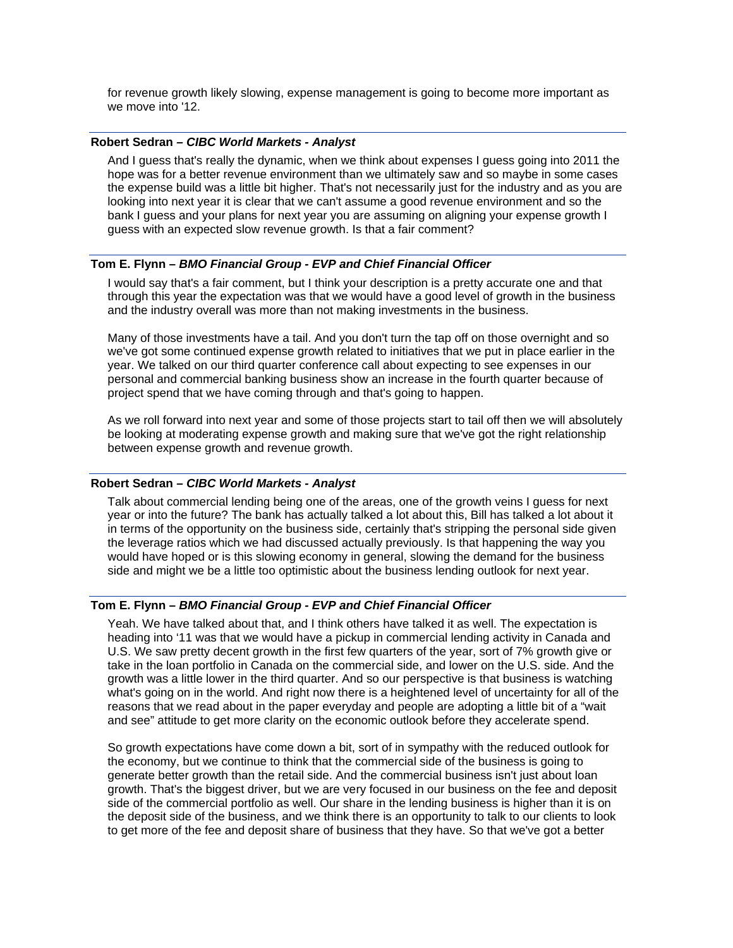for revenue growth likely slowing, expense management is going to become more important as we move into '12.

### **Robert Sedran** *– CIBC World Markets - Analyst*

And I guess that's really the dynamic, when we think about expenses I guess going into 2011 the hope was for a better revenue environment than we ultimately saw and so maybe in some cases the expense build was a little bit higher. That's not necessarily just for the industry and as you are looking into next year it is clear that we can't assume a good revenue environment and so the bank I guess and your plans for next year you are assuming on aligning your expense growth I guess with an expected slow revenue growth. Is that a fair comment?

#### **Tom E. Flynn –** *BMO Financial Group - EVP and Chief Financial Officer*

I would say that's a fair comment, but I think your description is a pretty accurate one and that through this year the expectation was that we would have a good level of growth in the business and the industry overall was more than not making investments in the business.

Many of those investments have a tail. And you don't turn the tap off on those overnight and so we've got some continued expense growth related to initiatives that we put in place earlier in the year. We talked on our third quarter conference call about expecting to see expenses in our personal and commercial banking business show an increase in the fourth quarter because of project spend that we have coming through and that's going to happen.

As we roll forward into next year and some of those projects start to tail off then we will absolutely be looking at moderating expense growth and making sure that we've got the right relationship between expense growth and revenue growth.

#### **Robert Sedran** *– CIBC World Markets - Analyst*

Talk about commercial lending being one of the areas, one of the growth veins I guess for next year or into the future? The bank has actually talked a lot about this, Bill has talked a lot about it in terms of the opportunity on the business side, certainly that's stripping the personal side given the leverage ratios which we had discussed actually previously. Is that happening the way you would have hoped or is this slowing economy in general, slowing the demand for the business side and might we be a little too optimistic about the business lending outlook for next year.

### **Tom E. Flynn –** *BMO Financial Group - EVP and Chief Financial Officer*

Yeah. We have talked about that, and I think others have talked it as well. The expectation is heading into '11 was that we would have a pickup in commercial lending activity in Canada and U.S. We saw pretty decent growth in the first few quarters of the year, sort of 7% growth give or take in the loan portfolio in Canada on the commercial side, and lower on the U.S. side. And the growth was a little lower in the third quarter. And so our perspective is that business is watching what's going on in the world. And right now there is a heightened level of uncertainty for all of the reasons that we read about in the paper everyday and people are adopting a little bit of a "wait and see" attitude to get more clarity on the economic outlook before they accelerate spend.

So growth expectations have come down a bit, sort of in sympathy with the reduced outlook for the economy, but we continue to think that the commercial side of the business is going to generate better growth than the retail side. And the commercial business isn't just about loan growth. That's the biggest driver, but we are very focused in our business on the fee and deposit side of the commercial portfolio as well. Our share in the lending business is higher than it is on the deposit side of the business, and we think there is an opportunity to talk to our clients to look to get more of the fee and deposit share of business that they have. So that we've got a better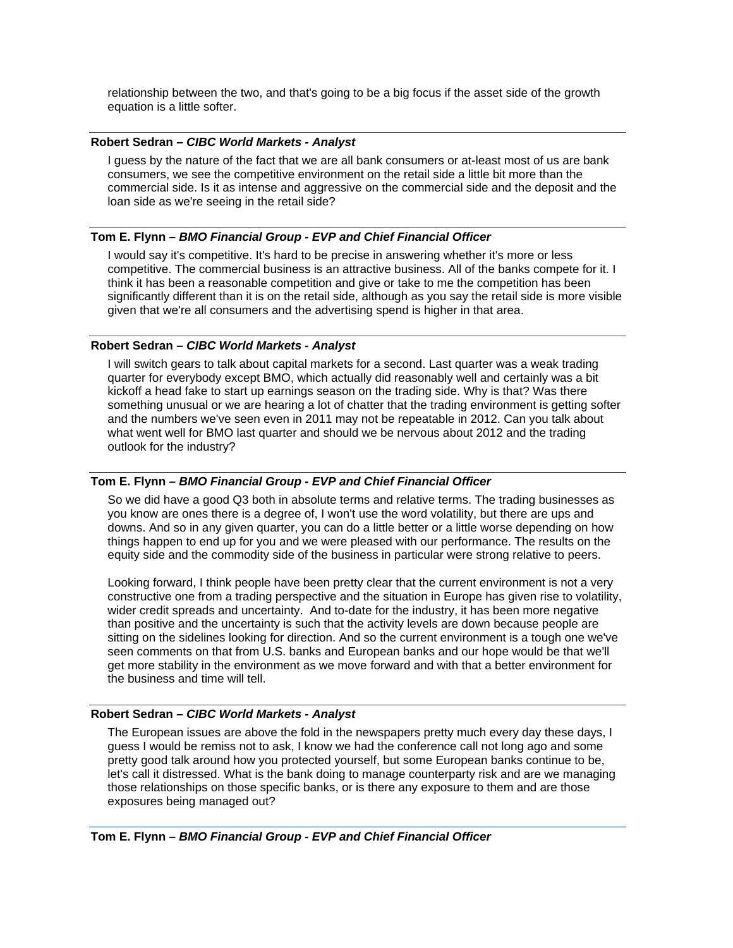relationship between the two, and that's going to be a big focus if the asset side of the growth equation is a little softer.

### **Robert Sedran** *– CIBC World Markets - Analyst*

I guess by the nature of the fact that we are all bank consumers or at-least most of us are bank consumers, we see the competitive environment on the retail side a little bit more than the commercial side. Is it as intense and aggressive on the commercial side and the deposit and the loan side as we're seeing in the retail side?

### **Tom E. Flynn –** *BMO Financial Group - EVP and Chief Financial Officer*

I would say it's competitive. It's hard to be precise in answering whether it's more or less competitive. The commercial business is an attractive business. All of the banks compete for it. I think it has been a reasonable competition and give or take to me the competition has been significantly different than it is on the retail side, although as you say the retail side is more visible given that we're all consumers and the advertising spend is higher in that area.

### **Robert Sedran** *– CIBC World Markets - Analyst*

I will switch gears to talk about capital markets for a second. Last quarter was a weak trading quarter for everybody except BMO, which actually did reasonably well and certainly was a bit kickoff a head fake to start up earnings season on the trading side. Why is that? Was there something unusual or we are hearing a lot of chatter that the trading environment is getting softer and the numbers we've seen even in 2011 may not be repeatable in 2012. Can you talk about what went well for BMO last quarter and should we be nervous about 2012 and the trading outlook for the industry?

## **Tom E. Flynn –** *BMO Financial Group - EVP and Chief Financial Officer*

So we did have a good Q3 both in absolute terms and relative terms. The trading businesses as you know are ones there is a degree of, I won't use the word volatility, but there are ups and downs. And so in any given quarter, you can do a little better or a little worse depending on how things happen to end up for you and we were pleased with our performance. The results on the equity side and the commodity side of the business in particular were strong relative to peers.

Looking forward, I think people have been pretty clear that the current environment is not a very constructive one from a trading perspective and the situation in Europe has given rise to volatility, wider credit spreads and uncertainty. And to-date for the industry, it has been more negative than positive and the uncertainty is such that the activity levels are down because people are sitting on the sidelines looking for direction. And so the current environment is a tough one we've seen comments on that from U.S. banks and European banks and our hope would be that we'll get more stability in the environment as we move forward and with that a better environment for the business and time will tell.

### **Robert Sedran** *– CIBC World Markets - Analyst*

The European issues are above the fold in the newspapers pretty much every day these days, I guess I would be remiss not to ask, I know we had the conference call not long ago and some pretty good talk around how you protected yourself, but some European banks continue to be, let's call it distressed. What is the bank doing to manage counterparty risk and are we managing those relationships on those specific banks, or is there any exposure to them and are those exposures being managed out?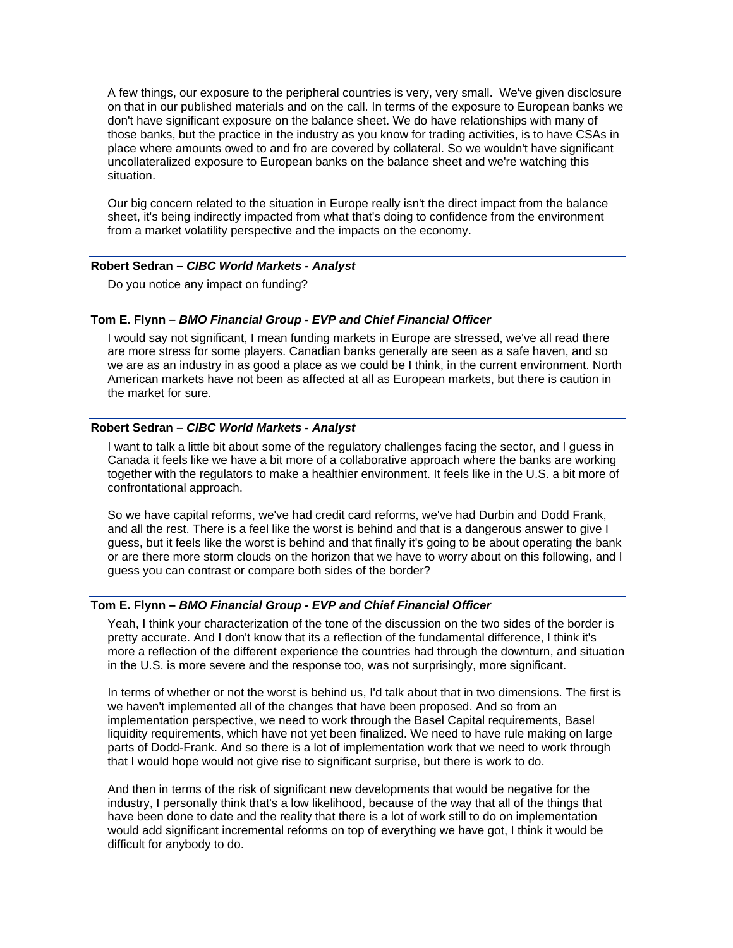A few things, our exposure to the peripheral countries is very, very small. We've given disclosure on that in our published materials and on the call. In terms of the exposure to European banks we don't have significant exposure on the balance sheet. We do have relationships with many of those banks, but the practice in the industry as you know for trading activities, is to have CSAs in place where amounts owed to and fro are covered by collateral. So we wouldn't have significant uncollateralized exposure to European banks on the balance sheet and we're watching this situation.

Our big concern related to the situation in Europe really isn't the direct impact from the balance sheet, it's being indirectly impacted from what that's doing to confidence from the environment from a market volatility perspective and the impacts on the economy.

### **Robert Sedran** *– CIBC World Markets - Analyst*

Do you notice any impact on funding?

#### **Tom E. Flynn –** *BMO Financial Group - EVP and Chief Financial Officer*

I would say not significant, I mean funding markets in Europe are stressed, we've all read there are more stress for some players. Canadian banks generally are seen as a safe haven, and so we are as an industry in as good a place as we could be I think, in the current environment. North American markets have not been as affected at all as European markets, but there is caution in the market for sure.

## **Robert Sedran** *– CIBC World Markets - Analyst*

I want to talk a little bit about some of the regulatory challenges facing the sector, and I guess in Canada it feels like we have a bit more of a collaborative approach where the banks are working together with the regulators to make a healthier environment. It feels like in the U.S. a bit more of confrontational approach.

So we have capital reforms, we've had credit card reforms, we've had Durbin and Dodd Frank, and all the rest. There is a feel like the worst is behind and that is a dangerous answer to give I guess, but it feels like the worst is behind and that finally it's going to be about operating the bank or are there more storm clouds on the horizon that we have to worry about on this following, and I guess you can contrast or compare both sides of the border?

### **Tom E. Flynn –** *BMO Financial Group - EVP and Chief Financial Officer*

Yeah, I think your characterization of the tone of the discussion on the two sides of the border is pretty accurate. And I don't know that its a reflection of the fundamental difference, I think it's more a reflection of the different experience the countries had through the downturn, and situation in the U.S. is more severe and the response too, was not surprisingly, more significant.

In terms of whether or not the worst is behind us, I'd talk about that in two dimensions. The first is we haven't implemented all of the changes that have been proposed. And so from an implementation perspective, we need to work through the Basel Capital requirements, Basel liquidity requirements, which have not yet been finalized. We need to have rule making on large parts of Dodd-Frank. And so there is a lot of implementation work that we need to work through that I would hope would not give rise to significant surprise, but there is work to do.

And then in terms of the risk of significant new developments that would be negative for the industry, I personally think that's a low likelihood, because of the way that all of the things that have been done to date and the reality that there is a lot of work still to do on implementation would add significant incremental reforms on top of everything we have got, I think it would be difficult for anybody to do.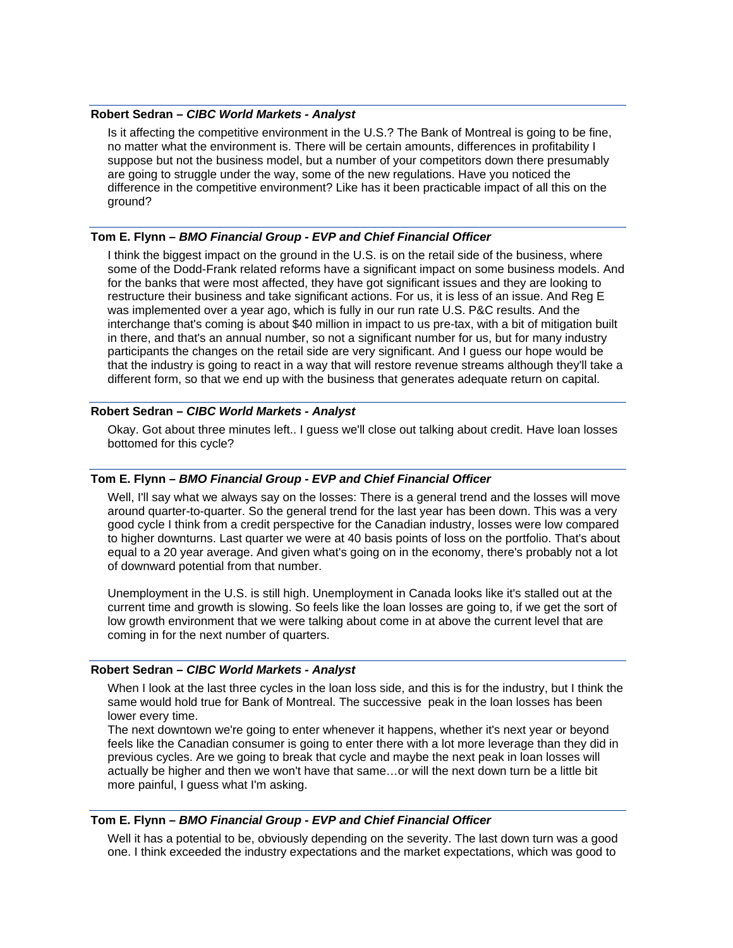### **Robert Sedran** *– CIBC World Markets - Analyst*

Is it affecting the competitive environment in the U.S.? The Bank of Montreal is going to be fine, no matter what the environment is. There will be certain amounts, differences in profitability I suppose but not the business model, but a number of your competitors down there presumably are going to struggle under the way, some of the new regulations. Have you noticed the difference in the competitive environment? Like has it been practicable impact of all this on the ground?

### **Tom E. Flynn –** *BMO Financial Group - EVP and Chief Financial Officer*

I think the biggest impact on the ground in the U.S. is on the retail side of the business, where some of the Dodd-Frank related reforms have a significant impact on some business models. And for the banks that were most affected, they have got significant issues and they are looking to restructure their business and take significant actions. For us, it is less of an issue. And Reg E was implemented over a year ago, which is fully in our run rate U.S. P&C results. And the interchange that's coming is about \$40 million in impact to us pre-tax, with a bit of mitigation built in there, and that's an annual number, so not a significant number for us, but for many industry participants the changes on the retail side are very significant. And I guess our hope would be that the industry is going to react in a way that will restore revenue streams although they'll take a different form, so that we end up with the business that generates adequate return on capital.

### **Robert Sedran** *– CIBC World Markets - Analyst*

Okay. Got about three minutes left.. I guess we'll close out talking about credit. Have loan losses bottomed for this cycle?

### **Tom E. Flynn –** *BMO Financial Group - EVP and Chief Financial Officer*

Well, I'll say what we always say on the losses: There is a general trend and the losses will move around quarter-to-quarter. So the general trend for the last year has been down. This was a very good cycle I think from a credit perspective for the Canadian industry, losses were low compared to higher downturns. Last quarter we were at 40 basis points of loss on the portfolio. That's about equal to a 20 year average. And given what's going on in the economy, there's probably not a lot of downward potential from that number.

Unemployment in the U.S. is still high. Unemployment in Canada looks like it's stalled out at the current time and growth is slowing. So feels like the loan losses are going to, if we get the sort of low growth environment that we were talking about come in at above the current level that are coming in for the next number of quarters.

### **Robert Sedran** *– CIBC World Markets - Analyst*

When I look at the last three cycles in the loan loss side, and this is for the industry, but I think the same would hold true for Bank of Montreal. The successive peak in the loan losses has been lower every time.

The next downtown we're going to enter whenever it happens, whether it's next year or beyond feels like the Canadian consumer is going to enter there with a lot more leverage than they did in previous cycles. Are we going to break that cycle and maybe the next peak in loan losses will actually be higher and then we won't have that same…or will the next down turn be a little bit more painful, I guess what I'm asking.

### **Tom E. Flynn –** *BMO Financial Group - EVP and Chief Financial Officer*

Well it has a potential to be, obviously depending on the severity. The last down turn was a good one. I think exceeded the industry expectations and the market expectations, which was good to